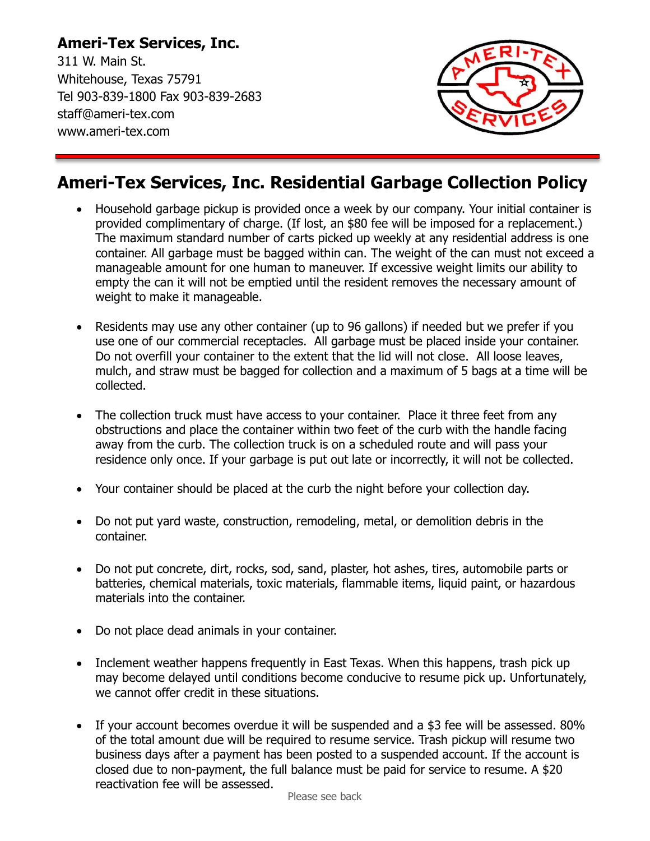## **Ameri-Tex Services, Inc.**

311 W. Main St. Whitehouse, Texas 75791 Tel 903-839-1800 Fax 903-839-2683 staff@ameri-tex.com www.ameri-tex.com



## **Ameri-Tex Services, Inc. Residential Garbage Collection Policy**

- Household garbage pickup is provided once a week by our company. Your initial container is provided complimentary of charge. (If lost, an \$80 fee will be imposed for a replacement.) The maximum standard number of carts picked up weekly at any residential address is one container. All garbage must be bagged within can. The weight of the can must not exceed a manageable amount for one human to maneuver. If excessive weight limits our ability to empty the can it will not be emptied until the resident removes the necessary amount of weight to make it manageable.
- Residents may use any other container (up to 96 gallons) if needed but we prefer if you use one of our commercial receptacles. All garbage must be placed inside your container. Do not overfill your container to the extent that the lid will not close. All loose leaves, mulch, and straw must be bagged for collection and a maximum of 5 bags at a time will be collected.
- The collection truck must have access to your container. Place it three feet from any obstructions and place the container within two feet of the curb with the handle facing away from the curb. The collection truck is on a scheduled route and will pass your residence only once. If your garbage is put out late or incorrectly, it will not be collected.
- Your container should be placed at the curb the night before your collection day.
- Do not put yard waste, construction, remodeling, metal, or demolition debris in the container.
- Do not put concrete, dirt, rocks, sod, sand, plaster, hot ashes, tires, automobile parts or batteries, chemical materials, toxic materials, flammable items, liquid paint, or hazardous materials into the container.
- Do not place dead animals in your container.
- Inclement weather happens frequently in East Texas. When this happens, trash pick up may become delayed until conditions become conducive to resume pick up. Unfortunately, we cannot offer credit in these situations.
- If your account becomes overdue it will be suspended and a \$3 fee will be assessed. 80% of the total amount due will be required to resume service. Trash pickup will resume two business days after a payment has been posted to a suspended account. If the account is closed due to non-payment, the full balance must be paid for service to resume. A \$20 reactivation fee will be assessed.